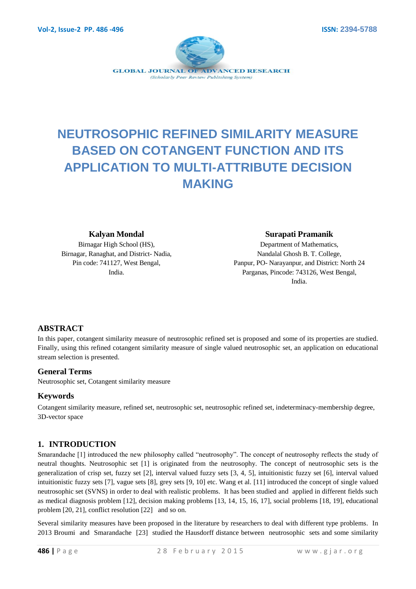

# **NEUTROSOPHIC REFINED SIMILARITY MEASURE BASED ON COTANGENT FUNCTION AND ITS APPLICATION TO MULTI-ATTRIBUTE DECISION MAKING**

#### **Kalyan Mondal**

Birnagar High School (HS), Birnagar, Ranaghat, and District- Nadia, Pin code: 741127, West Bengal, India.

#### **Surapati Pramanik**

Department of Mathematics, Nandalal Ghosh B. T. College, Panpur, PO- Narayanpur, and District: North 24 Parganas, Pincode: 743126, West Bengal, India.

# **ABSTRACT**

In this paper, cotangent similarity measure of neutrosophic refined set is proposed and some of its properties are studied. Finally, using this refined cotangent similarity measure of single valued neutrosophic set, an application on educational stream selection is presented.

## **General Terms**

Neutrosophic set, Cotangent similarity measure

# **Keywords**

Cotangent similarity measure, refined set, neutrosophic set, neutrosophic refined set, indeterminacy-membership degree, 3D-vector space

# **1. INTRODUCTION**

Smarandache [1] introduced the new philosophy called "neutrosophy". The concept of neutrosophy reflects the study of neutral thoughts. Neutrosophic set [1] is originated from the neutrosophy. The concept of neutrosophic sets is the generalization of crisp set, fuzzy set [2], interval valued fuzzy sets [3, 4, 5], intuitionistic fuzzy set [6], interval valued intuitionistic fuzzy sets [7], vague sets [8], grey sets [9, 10] etc. Wang et al. [11] introduced the concept of single valued neutrosophic set (SVNS) in order to deal with realistic problems. It has been studied and applied in different fields such as medical diagnosis problem [12], decision making problems [13, 14, 15, 16, 17], social problems [18, 19], educational problem [20, 21], conflict resolution [22] and so on.

Several similarity measures have been proposed in the literature by researchers to deal with different type problems. In 2013 Broumi and Smarandache [23] studied the Hausdorff distance between neutrosophic sets and some similarity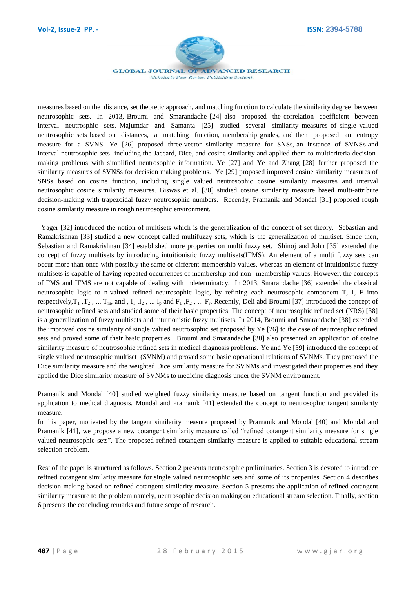

**GLOBAL JOURNAL OF ADVANCED RESEARCH** (Scholarly Peer Review Publishing System)

measures based on the distance, set theoretic approach, and matching function to calculate the similarity degree between neutrosophic sets. In 2013, Broumi and Smarandache [24] also proposed the correlation coefficient between interval neutrosphic sets. Majumdar and Samanta [25] studied several similarity measures of single valued neutrosophic sets based on distances, a matching function, membership grades, and then proposed an entropy measure for a SVNS. Ye [26] proposed three vector similarity measure for SNSs, an instance of SVNSs and interval neutrosophic sets including the Jaccard, Dice, and cosine similarity and applied them to multicriteria decisionmaking problems with simplified neutrosophic information. Ye [27] and Ye and Zhang [28] further proposed the similarity measures of SVNSs for decision making problems. Ye [29] proposed improved cosine similarity measures of SNSs based on cosine function, including single valued neutrosophic cosine similarity measures and interval neutrosophic cosine similarity measures. Biswas et al. [30] studied cosine similarity measure based multi-attribute decision-making with trapezoidal fuzzy neutrosophic numbers. Recently, Pramanik and Mondal [31] proposed rough cosine similarity measure in rough neutrosophic environment.

 Yager [32] introduced the notion of multisets which is the generalization of the concept of set theory. Sebastian and Ramakrishnan [33] studied a new concept called multifuzzy sets, which is the generalization of multiset. Since then, Sebastian and Ramakrishnan [34] established more properties on multi fuzzy set. Shinoj and John [35] extended the concept of fuzzy multisets by introducing intuitionistic fuzzy multisets(IFMS). An element of a multi fuzzy sets can occur more than once with possibly the same or different membership values, whereas an element of intuitionistic fuzzy multisets is capable of having repeated occurrences of membership and non--membership values. However, the concepts of FMS and IFMS are not capable of dealing with indeterminatcy. In 2013, Smarandache [36] extended the classical neutrosophic logic to n-valued refined neutrosophic logic, by refining each neutrosophic component T, I, F into respectively,  $T_1$ ,  $T_2$ , ...  $T_m$ , and,  $I_1$ ,  $I_2$ , ...  $I_p$  and  $F_1$ ,  $F_2$ , ...  $F_r$ . Recently, Deli abd Broumi [37] introduced the concept of neutrosophic refined sets and studied some of their basic properties. The concept of neutrosophic refined set (NRS) [38] is a generalization of fuzzy multisets and intuitionistic fuzzy multisets. In 2014, Broumi and Smarandache [38] extended the improved cosine similarity of single valued neutrosophic set proposed by Ye [26] to the case of neutrosophic refined sets and proved some of their basic properties. Broumi and Smarandache [38] also presented an application of cosine similarity measure of neutrosophic refined sets in medical diagnosis problems. Ye and Ye [39] introduced the concept of single valued neutrosophic multiset (SVNM) and proved some basic operational relations of SVNMs. They proposed the Dice similarity measure and the weighted Dice similarity measure for SVNMs and investigated their properties and they applied the Dice similarity measure of SVNMs to medicine diagnosis under the SVNM environment.

Pramanik and Mondal [40] studied weighted fuzzy similarity measure based on tangent function and provided its application to medical diagnosis. Mondal and Pramanik [41] extended the concept to neutrosophic tangent similarity measure.

In this paper, motivated by the tangent similarity measure proposed by Pramanik and Mondal [40] and Mondal and Pramanik [41], we propose a new cotangent similarity measure called "refined cotangent similarity measure for single valued neutrosophic sets". The proposed refined cotangent similarity measure is applied to suitable educational stream selection problem.

Rest of the paper is structured as follows. Section 2 presents neutrosophic preliminaries. Section 3 is devoted to introduce refined cotangent similarity measure for single valued neutrosophic sets and some of its properties. Section 4 describes decision making based on refined cotangent similarity measure. Section 5 presents the application of refined cotangent similarity measure to the problem namely, neutrosophic decision making on educational stream selection. Finally, section 6 presents the concluding remarks and future scope of research.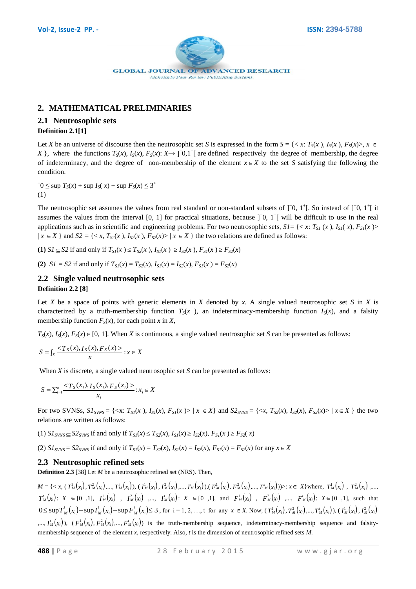

# **2. MATHEMATICAL PRELIMINARIES**

# **2.1 Neutrosophic sets**

## **Definition 2.1[1]**

Let *X* be an universe of discourse then the neutrosophic set *S* is expressed in the form  $S = \{ \langle x, T_s(x), I_s(x), F_s(x) \rangle, x \in$ *X* }, where the functions  $T_S(x)$ ,  $I_S(x)$ ,  $F_S(x)$ :  $X \rightarrow$  ]<sup>−</sup>0,1<sup>+</sup>[ are defined respectively the degree of membership, the degree of indeterminacy, and the degree of non-membership of the element  $x \in X$  to the set *S* satisfying the following the condition.

 $T_0$  ≤ sup  $T_S(x)$  + sup  $I_S(x)$  + sup  $F_S(x)$  ≤ 3<sup>+</sup> (1)

The neutrosophic set assumes the values from real standard or non-standard subsets of  $]$ <sup>-0</sup>,  $1$ <sup>+</sup>[. So instead of  $]$ <sup>-0</sup>,  $1$ <sup>+</sup>[ it assumes the values from the interval [0, 1] for practical situations, because  $]$ <sup>-1</sup>[ will be difficult to use in the real applications such as in scientific and engineering problems. For two neutrosophic sets,  $SI = \{ \langle x, T_{SI}(x), I_{SI}(x), F_{SI}(x) \rangle \}$  $|x \in X$  } and  $S2 = \{ \langle x, T_{S2}(x), I_{S2}(x), F_{S2}(x) \rangle | x \in X \}$  the two relations are defined as follows:

(1)  $SI \subseteq S2$  if and only if  $T_{SI}(x) \le T_{S2}(x)$ ,  $I_{SI}(x) \ge I_{S2}(x)$ ,  $F_{SI}(x) \ge F_{S2}(x)$ 

(2)  $SI = S2$  if and only if  $T_{SI}(x) = T_{S2}(x)$ ,  $I_{SI}(x) = I_{S2}(x)$ ,  $F_{SI}(x) = F_{S2}(x)$ 

## **2.2 Single valued neutrosophic sets Definition 2.2 [8]**

Let *X* be a space of points with generic elements in *X* denoted by *x*. A single valued neutrosophic set *S* in *X* is characterized by a truth-membership function  $T<sub>S</sub>(x)$ , an indeterminacy-membership function  $I<sub>S</sub>(x)$ , and a falsity membership function  $F_S(x)$ , for each point *x* in *X*,

 $T_S(x)$ ,  $I_S(x)$ ,  $F_S(x) \in [0, 1]$ . When *X* is continuous, a single valued neutrosophic set *S* can be presented as follows:

$$
S = \int_X \frac{}{x} : x \in X
$$

When *X* is discrete, a single valued neutrosophic set *S* can be presented as follows:

$$
S = \sum_{i=1}^{n} \frac{}{x_i}; x_i \in X
$$

For two SVNSs,  $S1_{SVNS} = \{ \langle x : T_{SI}(x), I_{SI}(x), F_{SI}(x) \rangle | x \in X \}$  and  $S2_{SVNS} = \{ \langle x, T_{S2}(x), I_{S2}(x), F_{S2}(x) \rangle | x \in X \}$  the two relations are written as follows:

(1)  $SI_{SVNS} \subseteq S2_{SVNS}$  if and only if  $T_{SI}(x) \le T_{S2}(x)$ ,  $I_{SI}(x) \ge I_{S2}(x)$ ,  $F_{SI}(x) \ge F_{S2}(x)$ 

(2)  $S1_{SVNS} = S2_{SVNS}$  if and only if  $T_{SI}(x) = T_{SI}(x)$ ,  $I_{SI}(x) = I_{S2}(x)$ ,  $F_{SI}(x) = F_{S2}(x)$  for any  $x \in X$ 

# **2.3 Neutrosophic refined sets**

**Definition 2.3** [38] Let *M* be a neutrosophic refined set (NRS). Then,

 $M = \{ \langle x, (T_M^1(x_i), T_M^2(x_i), ..., T_M^T(x_i)), (T_M^1(x_i), T_M^2(x_i), ..., T_M^T(x_i)), (F_M^1(x_i), F_M^2(x_i), ..., F_M^T(x_i))) \rangle : x \in X \}$  where,  $T_M^1(x_i), T_M^2(x_i), ..., T_M^T(x_i)$  $T_M^t(x_i): X \in [0,1], I_M^1(x_i), I_M^2(x_i), \dots, I_M^t(x_i): X \in [0,1],$  and  $F_M^1(x_i), F_M^2(x_i), \dots, F_M^t(x_i): X \in [0,1],$  such that  $0 \leq \sup T_M^i(x_i) + \sup T_M^i(x_i) + \sup F_M^i(x_i) \leq 3$  $\sum_{i=1}^{N} (x_i) + \sup I_M'(x_i) + \sup F_M'(x_i) \le 3$ , for  $i = 1, 2, ..., t$  for any  $x \in X$ . Now,  $(T_M^1(x_i), T_M^2(x_i), ..., T_M^t(x_i)), (I_M^1(x_i), I_M^2(x_i))$  $,..., I'_{M}(x_{i}))$ ,  $(F_{M}^{1}(x_{i}), F_{M}^{2}(x_{i}))...$ ,  $F_{M}^{t}(x_{i}))$  is the truth-membership sequence, indeterminacy-membership sequence and falsitymembership sequence of the element *x*, respectively. Also, *t* is the dimension of neutrosophic refined sets *M*.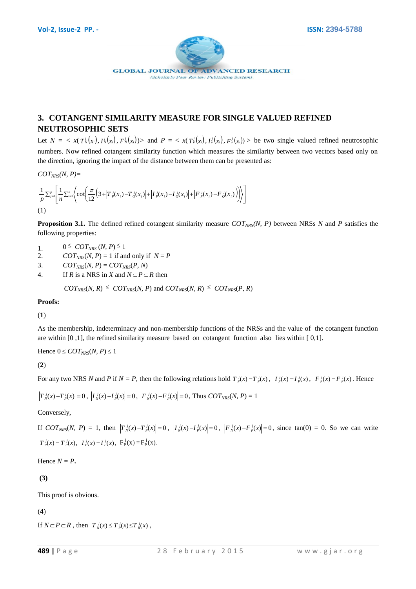

# **3. COTANGENT SIMILARITY MEASURE FOR SINGLE VALUED REFINED NEUTROSOPHIC SETS**

Let  $N = \langle x(T_N^j(x_i), T_N^j(x_i), F_N^j(x_i)) \rangle$  and  $P = \langle x(T_P^j(x_i), T_P^j(x_i), F_P^j(x_i)) \rangle$  be two single valued refined neutrosophic numbers. Now refined cotangent similarity function which measures the similarity between two vectors based only on the direction, ignoring the impact of the distance between them can be presented as:

 $COT<sub>NRS</sub>(N, P) =$ 

$$
\frac{1}{p} \sum_{j=1}^p \left[ \frac{1}{n} \sum_{i=1}^n \left\langle \cot \left( \frac{\pi}{12} \left( 3 + \left| T \frac{j}{p}(x_i) - T \frac{j}{q}(x_i) \right| + \left| T \frac{j}{p}(x_i) - T \frac{j}{q}(x_i) \right| + \left| F \frac{j}{p}(x_i) - F \frac{j}{q}(x_i) \right| \right) \right\rangle \right]
$$
\n(1)

**Proposition 3.1.** The defined refined cotangent similarity measure  $COT<sub>NRS</sub>(N, P)$  between NRSs *N* and *P* satisfies the following properties:

- 1. 0  $\leq$  *COT<sub>NRS</sub>* (*N, P*)<sup> $\leq$ </sup> 1
- 2. *COT<sub>NRS</sub>*(*N, P*) = 1 if and only if  $N = P$
- 3.  $COT<sub>NRS</sub>(N, P) = COT<sub>NRS</sub>(P, N)$
- 4. If *R* is a NRS in *X* and  $N \subset P \subset R$  then

 $COT<sub>NRS</sub>(N, R) \leq COT<sub>NRS</sub>(N, P)$  and  $COT<sub>NRS</sub>(N, R) \leq COT<sub>NRS</sub>(P, R)$ 

**Proofs:**

(**1**)

As the membership, indeterminacy and non-membership functions of the NRSs and the value of the cotangent function are within [0 ,1], the refined similarity measure based on cotangent function also lies within [ 0,1].

Hence  $0 \leq COT_{NRS}(N, P) \leq 1$ 

(**2**)

For any two NRS N and P if  $N = P$ , then the following relations hold  $T_p^j(x) = T_p^j(x)$ ,  $T_p^j(x) = T_p^j(x)$ ,  $F_p^j(x) = F_p^j(x)$ . Hence

$$
\left|T_{N}^{j}(x)-T_{N}^{j}(x)\right|=0, \ \left|I_{N}^{j}(x)-I_{N}^{j}(x)\right|=0, \ \left|F_{N}^{j}(x)-F_{N}^{j}(x)\right|=0, \ \text{Thus } COT_{NRS}(N, P)=1
$$

Conversely,

If  $COT_{NRS}(N, P) = 1$ , then  $|T_N^j(x) - T_N^j(x)| = 0$ ,  $|I_N^j(x) - I_N^j(x)| = 0$ ,  $|F_N^j(x) - F_N^j(x)| = 0$ , since  $tan(0) = 0$ . So we can write  $T_p^j(x) = T_p^j(x)$ ,  $I_p^j(x) = I_p^j(x)$ ,  $F_p^j(x) = F_p^j(x)$ .

Hence  $N = P$ .

**(3)**

This proof is obvious.

(**4**)

If  $N \subset P \subset R$ , then  $T_N^j(x) \le T_P^j(x) \le T_R^j(x)$ ,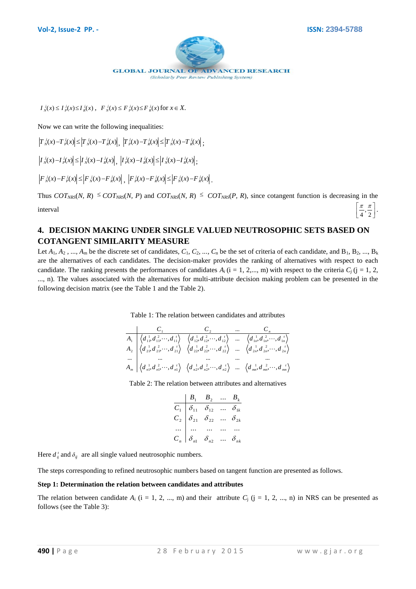

 $f'_{N}(x) \leq I_{P}^{j}(x) \leq I_{R}^{j}(x)$ ,  $F_{N}^{j}(x) \leq F_{P}^{j}(x) \leq F_{R}^{j}(x)$  for  $x \in X$ .

Now we can write the following inequalities:

 $T_{N}^{j}(x) - T_{N}^{j}(x) \leq T_{N}^{j}(x) - T_{N}^{j}(x) \Big|, \left|T_{N}^{j}(x) - T_{N}^{j}(x)\right| \leq T_{N}^{j}(x) - T_{N}^{j}(x) \Big|;$ 

 $I_N^j(x) - I_N^j(x) \leq |I_N^j(x) - I_R^j(x)|, |I_P^j(x) - I_R^j(x)| \leq |I_N^j(x) - I_R^j(x)|;$ 

 $F_N^j(x) - F_N^j(x) \leq |F_N^j(x) - F_R^j(x)|, |F_N^j(x) - F_R^j(x)| \leq |F_N^j(x) - F_R^j(x)|.$ 

Thus  $COT<sub>NRS</sub>(N, R) \leq COT<sub>NRS</sub>(N, P)$  and  $COT<sub>NRS</sub>(N, R) \leq COT<sub>NRS</sub>(P, R)$ , since cotangent function is decreasing in the interval  $\overline{a}$ l I  $\frac{\pi}{4}, \frac{\pi}{2}$  $\frac{\pi}{\cdot}$ ,  $\frac{\pi}{\cdot}$ .

# **4. DECISION MAKING UNDER SINGLE VALUED NEUTROSOPHIC SETS BASED ON COTANGENT SIMILARITY MEASURE**

*I*/302 *I*/302 *I*/302 *E*/302 *E*/302 *E*/301*b R* - *X*.<br> **EVA CONTRA (***P* B A g e 2 F (*x*) *I*/30 *I*/2 (*x*) *I*/30 - *T*/2 (*x*) *I*/3 (*x*) *I*/3 (*x*) *I*/3 (*x*) *I*/3 (*x*) *I*/3 (*x*) *I*/3 (*x*) *I*/3 (*x* Let  $A_1, A_2, ..., A_m$  be the discrete set of candidates,  $C_1, C_2, ..., C_n$  be the set of criteria of each candidate, and  $B_1, B_2, ..., B_k$ are the alternatives of each candidates. The decision-maker provides the ranking of alternatives with respect to each candidate. The ranking presents the performances of candidates  $A_i$  (i = 1, 2,..., m) with respect to the criteria  $C_i$  (j = 1, 2, ..., n). The values associated with the alternatives for multi-attribute decision making problem can be presented in the following decision matrix (see the Table 1 and the Table 2).

Table 1: The relation between candidates and attributes

$$
\begin{array}{c|c|c|c|c|c|c|c} & C_1 & C_2 & \cdots & C_n \\ \hline A_1 & \left\langle d_{11}^1, d_{11}^2, \cdots, d_{11}^{\prime} \right\rangle & \left\langle d_{12}^1, d_{12}^2, \cdots, d_{12}^{\prime} \right\rangle & \cdots & \left\langle d_{1n}^1, d_{1n}^2, \cdots, d_{1n}^{\prime} \right\rangle \\ A_2 & \left\langle d_{21}^1, d_{21}^2, \cdots, d_{21}^{\prime} \right\rangle & \left\langle d_{22}^1, d_{22}^2, \cdots, d_{22}^{\prime} \right\rangle & \cdots & \left\langle d_{2n}^1, d_{2n}^2, \cdots, d_{2n}^{\prime} \right\rangle \\ \cdots & \cdots & \cdots & \cdots & \cdots \\ A_m & \left\langle d_{n1}^1, d_{n1}^2, \cdots, d_{n1}^{\prime} \right\rangle & \left\langle d_{n2}^1, d_{n2}^2, \cdots, d_{n2}^{\prime} \right\rangle & \cdots & \left\langle d_{nm}^1, d_{nm}^2, \cdots, d_{nm}^{\prime} \right\rangle \\ \end{array}
$$

Table 2: The relation between attributes and alternatives

$$
\begin{array}{c|cccc}\n & B_1 & B_2 & \dots & B_k \\
\hline\nC_1 & \delta_{11} & \delta_{12} & \dots & \delta_{1k} \\
C_2 & \delta_{21} & \delta_{22} & \dots & \delta_{2k} \\
\vdots & \vdots & \vdots & \vdots & \vdots \\
C_n & \delta_{n1} & \delta_{n2} & \dots & \delta_{nk}\n\end{array}
$$

Here  $d_i$  and  $\delta_{ij}$  are all single valued neutrosophic numbers.

The steps corresponding to refined neutrosophic numbers based on tangent function are presented as follows.

#### **Step 1: Determination the relation between candidates and attributes**

The relation between candidate  $A_i$  (i = 1, 2, ..., m) and their attribute  $C_i$  (j = 1, 2, ..., n) in NRS can be presented as follows (see the Table 3):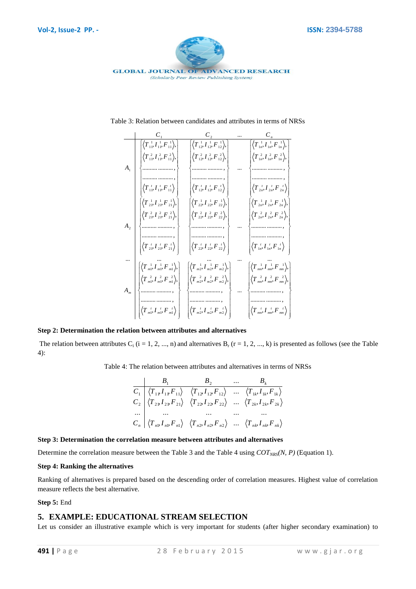

Table 3: Relation between candidates and attributes in terms of NRSs

|                    | $\left \left\langle T^{-1}_{11}, T^{-1}_{11}, F^{-1}_{11}\right\rangle, \right $                                                  | $\left \left\langle T^{-1}_{12}, {I}^{-1}_{12}, {F}^{-1}_{12} \right\rangle_{\!\!\circ}\right $                                                                   | $\left \left\langle T^{-1}_{1n}, {I}^{-1}_{1n}, {F}^{-1}_{1n}\right\rangle\right ,$                                  |
|--------------------|-----------------------------------------------------------------------------------------------------------------------------------|-------------------------------------------------------------------------------------------------------------------------------------------------------------------|----------------------------------------------------------------------------------------------------------------------|
|                    | $\left\langle T_{11}^2, T_{11}^2, F_{11}^2 \right\rangle,$                                                                        | $\langle T_{12}^2, I_{12}^2, F_{12}^2 \rangle,$                                                                                                                   | $\langle T^2_{1n}, I^2_{1n}, F^2_{1n} \rangle,$                                                                      |
| $A_{1}$            |                                                                                                                                   |                                                                                                                                                                   |                                                                                                                      |
|                    |                                                                                                                                   |                                                                                                                                                                   |                                                                                                                      |
|                    | $\left\langle T_{11}^{\;\;t}, I_{11}^{\;\;t}, F_{11}^{\;\;t} \right\rangle$ .                                                     | $\left\langle T_{12}^{\;\;t}, I_{12}^{\;\;t}, F_{12}^{\;\;t} \right\rangle$                                                                                       | $\left \left\langle T_{\frac{1}{2n}},\overline{I}_{\frac{1}{2n}},\overline{F}_{\frac{1}{2n}}\right\rangle \right $   |
|                    | $\left \left\langle T^{-1}_{21}, {I}^{-1}_{21}, {F}^{-1}_{21}\right\rangle_{\!\!\circ}\right $                                    | $\left \left\langle T^{-1}_{22}, {I}^{-1}_{22}, {F}^{-1}_{22} \right\rangle_{\!\!\circ}\right $                                                                   | $\left \left\langle T^{-1}_{2n}, {I}^{-1}_{2n}, {F}^{-1}_{2n}\right\rangle_{n}\right $                               |
|                    | $\langle T^{\,2}_{21}, I^{\,2}_{21}, F^{\,2}_{21} \rangle,$                                                                       | $\langle T^{\,2}_{22}, I^{\,2}_{22}, F^{\,2}_{22} \rangle,$                                                                                                       | $\langle T_{2n}^2, I_{2n}^2, F_{2n}^2 \rangle$ ,                                                                     |
| $\boldsymbol{A}_2$ |                                                                                                                                   |                                                                                                                                                                   |                                                                                                                      |
|                    | $\left\langle T_{21}^{\;\;t} {I}_{21}^{\;\;t} {F}_{21}^{\;\;t} \right\rangle \Big $                                               | $\left \left\langle T\frac{t}{22},\overline{I}\frac{t}{22},\overline{F}\frac{t}{22}\right\rangle \right $                                                         | $\left \left\langle T_{\frac{t}{1n}},T_{\frac{t}{1n}},F_{\frac{t}{1n}}\right\rangle \right $                         |
|                    |                                                                                                                                   |                                                                                                                                                                   |                                                                                                                      |
|                    | $\left\langle T^{-1}_{m1}, {I^{-1}_{m1}}, {F^{-1}_{m1}} \right\rangle,$                                                           | $\left \left\langle T^{-1}_{m2}, {I^{-1}_{m2}}, F^{-1}_{m2}\right\rangle, \right $                                                                                | $\left \left\langle T\text{\tiny $mn$}^{1}, {I\text{\tiny $mn$}}^{1}, {F\text{\tiny $mn$}}^{1}\right\rangle\right ,$ |
|                    | $\left\langle T\,{}^2_{m1},\, I\,{}^2_{m1},\, F\,{}^2_{m1}\right\rangle, \left\vert$                                              | $\left\langle T_{m2}^2, I_{m2}^2, F_{m2}^2 \right\rangle,$                                                                                                        | $\left\langle T\right\rangle_{mn}^2, I\right\rangle_{mn}^2, F\right\rangle_{mn}^2},$                                 |
| $\boldsymbol{A}_m$ |                                                                                                                                   |                                                                                                                                                                   |                                                                                                                      |
|                    | $\left\langle T\textstyle{\frac{t}{m1}},\textstyle{I}\textstyle{\frac{t}{m1}},\textstyle{F}\textstyle{\frac{t}{m1}}\right\rangle$ | $\left \left\langle T\textstyle{\frac{t}{m\cdot 2}},\textstyle{I\textstyle{\frac{t}{m\cdot 2}}},\textstyle{F\textstyle{\frac{t}{m\cdot 2}}}\right\rangle \right $ | $\left\langle T\text{\tiny{mm}}^{t}, I\text{\tiny{mm}}^{t}, F\text{\tiny{mm}}^{t}\right\rangle$                      |
|                    |                                                                                                                                   |                                                                                                                                                                   |                                                                                                                      |

#### **Step 2: Determination the relation between attributes and alternatives**

The relation between attributes  $C_i$  (i = 1, 2, ..., n) and alternatives  $B_r$  (r = 1, 2, ..., k) is presented as follows (see the Table 4):

Table 4: The relation between attributes and alternatives in terms of NRSs

$$
\begin{array}{c|ccc}\n & B_1 & B_2 & \dots & B_k \\
\hline\nC_1 & \langle T_{1P}I_{1P}F_{11} \rangle & \langle T_{12}I_{12}F_{12} \rangle & \dots & \langle T_{1k}I_{1k}F_{1k} \rangle \\
C_2 & \langle T_{2P}I_{2P}F_{21} \rangle & \langle T_{22}I_{22}F_{22} \rangle & \dots & \langle T_{2k}I_{2k}F_{2k} \rangle \\
\vdots & \vdots & \vdots & \vdots \\
C_n & \langle T_{n1}I_{n1}F_{n1} \rangle & \langle T_{n2}I_{n2}F_{n2} \rangle & \dots & \langle T_{nk}I_{nk}F_{nk} \rangle\n\end{array}
$$

#### **Step 3: Determination the correlation measure between attributes and alternatives**

Determine the correlation measure between the Table 3 and the Table 4 using *COTNRS(N, P)* (Equation 1).

#### **Step 4: Ranking the alternatives**

Ranking of alternatives is prepared based on the descending order of correlation measures. Highest value of correlation measure reflects the best alternative.

#### **Step 5:** End

## **5. EXAMPLE: EDUCATIONAL STREAM SELECTION**

Let us consider an illustrative example which is very important for students (after higher secondary examination) to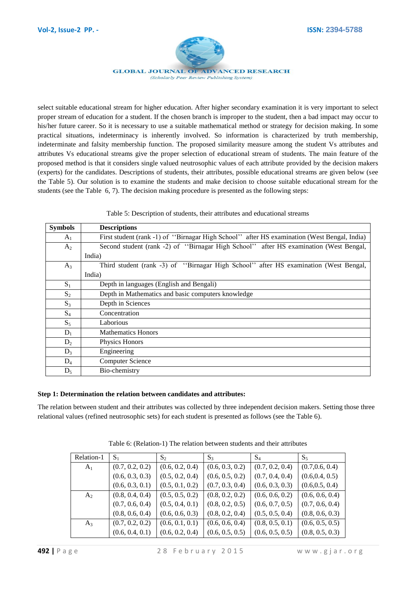

**GLOBAL JOURNAL OF ADVANCED RESEARCH** (Scholarly Peer Review Publishing System)

select suitable educational stream for higher education. After higher secondary examination it is very important to select proper stream of education for a student. If the chosen branch is improper to the student, then a bad impact may occur to his/her future career. So it is necessary to use a suitable mathematical method or strategy for decision making. In some practical situations, indeterminacy is inherently involved. So information is characterized by truth membership, indeterminate and falsity membership function. The proposed similarity measure among the student Vs attributes and attributes Vs educational streams give the proper selection of educational stream of students. The main feature of the proposed method is that it considers single valued neutrosophic values of each attribute provided by the decision makers (experts) for the candidates. Descriptions of students, their attributes, possible educational streams are given below (see the Table 5). Our solution is to examine the students and make decision to choose suitable educational stream for the students (see the Table 6, 7). The decision making procedure is presented as the following steps:

Table 5: Description of students, their attributes and educational streams

| <b>Symbols</b> | <b>Descriptions</b>                                                                         |  |  |  |  |
|----------------|---------------------------------------------------------------------------------------------|--|--|--|--|
| $A_1$          | First student (rank -1) of "Birnagar High School" after HS examination (West Bengal, India) |  |  |  |  |
| A <sub>2</sub> | Second student (rank -2) of "Birnagar High School" after HS examination (West Bengal,       |  |  |  |  |
|                | India)                                                                                      |  |  |  |  |
| $A_3$          | Third student (rank -3) of "Birnagar High School" after HS examination (West Bengal,        |  |  |  |  |
|                | India)                                                                                      |  |  |  |  |
| $S_1$          | Depth in languages (English and Bengali)                                                    |  |  |  |  |
| $S_2$          | Depth in Mathematics and basic computers knowledge                                          |  |  |  |  |
| $S_3$          | Depth in Sciences                                                                           |  |  |  |  |
| $S_4$          | Concentration                                                                               |  |  |  |  |
| $S_5$          | Laborious                                                                                   |  |  |  |  |
| $D_1$          | <b>Mathematics Honors</b>                                                                   |  |  |  |  |
| $D_2$          | Physics Honors                                                                              |  |  |  |  |
| $D_3$          | Engineering                                                                                 |  |  |  |  |
| $D_4$          | <b>Computer Science</b>                                                                     |  |  |  |  |
| $D_5$          | Bio-chemistry                                                                               |  |  |  |  |

#### **Step 1: Determination the relation between candidates and attributes:**

The relation between student and their attributes was collected by three independent decision makers. Setting those three relational values (refined neutrosophic sets) for each student is presented as follows (see the Table 6).

| Relation-1     | $S_1$           | $S_2$           | $S_3$           | $S_4$           | $S_5$           |
|----------------|-----------------|-----------------|-----------------|-----------------|-----------------|
| $A_1$          | (0.7, 0.2, 0.2) | (0.6, 0.2, 0.4) | (0.6, 0.3, 0.2) | (0.7, 0.2, 0.4) | (0.7, 0.6, 0.4) |
|                | (0.6, 0.3, 0.3) | (0.5, 0.2, 0.4) | (0.6, 0.5, 0.2) | (0.7, 0.4, 0.4) | (0.6, 0.4, 0.5) |
|                | (0.6, 0.3, 0.1) | (0.5, 0.1, 0.2) | (0.7, 0.3, 0.4) | (0.6, 0.3, 0.3) | (0.6, 0.5, 0.4) |
| A <sub>2</sub> | (0.8, 0.4, 0.4) | (0.5, 0.5, 0.2) | (0.8, 0.2, 0.2) | (0.6, 0.6, 0.2) | (0.6, 0.6, 0.4) |
|                | (0.7, 0.6, 0.4) | (0.5, 0.4, 0.1) | (0.8, 0.2, 0.5) | (0.6, 0.7, 0.5) | (0.7, 0.6, 0.4) |
|                | (0.8, 0.6, 0.4) | (0.6, 0.6, 0.3) | (0.8, 0.2, 0.4) | (0.5, 0.5, 0.4) | (0.8, 0.6, 0.3) |
| $A_3$          | (0.7, 0.2, 0.2) | (0.6, 0.1, 0.1) | (0.6, 0.6, 0.4) | (0.8, 0.5, 0.1) | (0.6, 0.5, 0.5) |
|                | (0.6, 0.4, 0.1) | (0.6, 0.2, 0.4) | (0.6, 0.5, 0.5) | (0.6, 0.5, 0.5) | (0.8, 0.5, 0.3) |

Table 6: (Relation-1) The relation between students and their attributes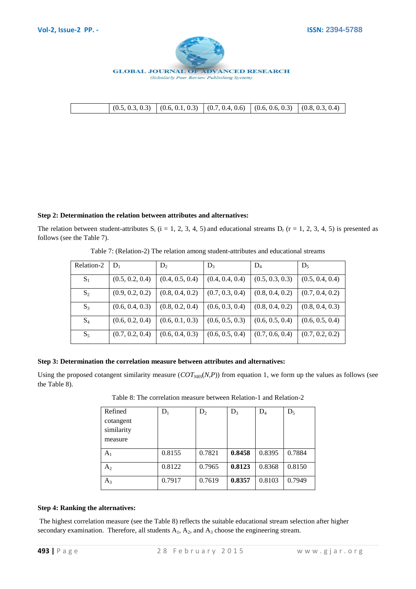

|  |  | $\{(0.5, 0.3, 0.3) \mid (0.6, 0.1, 0.3) \mid (0.7, 0.4, 0.6) \mid (0.6, 0.6, 0.3) \mid (0.8, 0.3, 0.4) \mid$ |
|--|--|--------------------------------------------------------------------------------------------------------------|

#### **Step 2: Determination the relation between attributes and alternatives:**

The relation between student-attributes  $S_i$  (i = 1, 2, 3, 4, 5) and educational streams  $D_r$  (r = 1, 2, 3, 4, 5) is presented as follows (see the Table 7).

| Relation-2 | $D_1$           | $D_2$           | $D_3$           | $D_4$           | $D_5$           |
|------------|-----------------|-----------------|-----------------|-----------------|-----------------|
| $S_1$      | (0.5, 0.2, 0.4) | (0.4, 0.5, 0.4) | (0.4, 0.4, 0.4) | (0.5, 0.3, 0.3) | (0.5, 0.4, 0.4) |
| $S_2$      | (0.9, 0.2, 0.2) | (0.8, 0.4, 0.2) | (0.7, 0.3, 0.4) | (0.8, 0.4, 0.2) | (0.7, 0.4, 0.2) |
| $S_3$      | (0.6, 0.4, 0.3) | (0.8, 0.2, 0.4) | (0.6, 0.3, 0.4) | (0.8, 0.4, 0.2) | (0.8, 0.4, 0.3) |
| $S_4$      | (0.6, 0.2, 0.4) | (0.6, 0.1, 0.3) | (0.6, 0.5, 0.3) | (0.6, 0.5, 0.4) | (0.6, 0.5, 0.4) |
| $S_5$      | (0.7, 0.2, 0.4) | (0.6, 0.4, 0.3) | (0.6, 0.5, 0.4) | (0.7, 0.6, 0.4) | (0.7, 0.2, 0.2) |

Table 7: (Relation-2) The relation among student-attributes and educational streams

# **Step 3: Determination the correlation measure between attributes and alternatives:**

Using the proposed cotangent similarity measure  $(COT<sub>NRS</sub>(N,P))$  from equation 1, we form up the values as follows (see the Table 8).

| Refined                            | $\rm D_1$ | $D_2$  | $D_3$  | $D_4$  | $D_5$  |
|------------------------------------|-----------|--------|--------|--------|--------|
| cotangent<br>similarity<br>measure |           |        |        |        |        |
| $A_1$                              | 0.8155    | 0.7821 | 0.8458 | 0.8395 | 0.7884 |
| A <sub>2</sub>                     | 0.8122    | 0.7965 | 0.8123 | 0.8368 | 0.8150 |
| $A_3$                              | 0.7917    | 0.7619 | 0.8357 | 0.8103 | 0.7949 |

Table 8: The correlation measure between Relation-1 and Relation-2

## **Step 4: Ranking the alternatives:**

The highest correlation measure (see the Table 8) reflects the suitable educational stream selection after higher secondary examination. Therefore, all students  $A_1$ ,  $A_2$ , and  $A_3$  choose the engineering stream.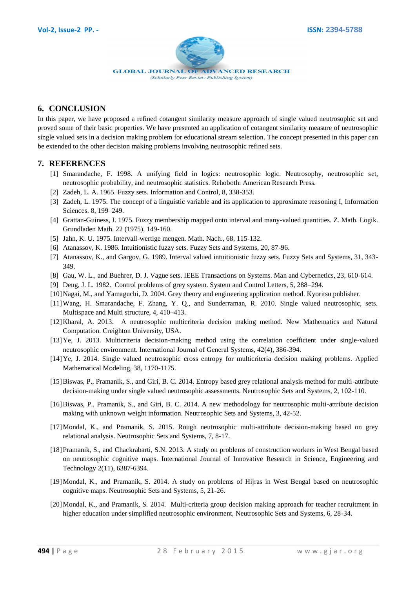

# **6. CONCLUSION**

In this paper, we have proposed a refined cotangent similarity measure approach of single valued neutrosophic set and proved some of their basic properties. We have presented an application of cotangent similarity measure of neutrosophic single valued sets in a decision making problem for educational stream selection. The concept presented in this paper can be extended to the other decision making problems involving neutrosophic refined sets.

## **7. REFERENCES**

- [1] Smarandache, F. 1998. A unifying field in logics: neutrosophic logic. Neutrosophy, neutrosophic set, neutrosophic probability, and neutrosophic statistics. Rehoboth: American Research Press.
- [2] Zadeh, L. A. 1965. Fuzzy sets. Information and Control, 8, 338-353.
- [3] Zadeh, L. 1975. The concept of a linguistic variable and its application to approximate reasoning I, Information Sciences. 8, 199–249.
- [4] Grattan-Guiness, I. 1975. Fuzzy membership mapped onto interval and many-valued quantities. Z. Math. Logik. Grundladen Math. 22 (1975), 149-160.
- [5] Jahn, K. U. 1975. Intervall-wertige mengen. Math. Nach., 68, 115-132.
- [6] Atanassov, K. 1986. Intuitionistic fuzzy sets. Fuzzy Sets and Systems, 20, 87-96.
- [7] Atanassov, K., and Gargov, G. 1989. Interval valued intuitionistic fuzzy sets. Fuzzy Sets and Systems, 31, 343- 349.
- [8] Gau, W. L., and Buehrer, D. J. Vague sets. IEEE Transactions on Systems. Man and Cybernetics, 23, 610-614.
- [9] Deng, J. L. 1982. Control problems of grey system. System and Control Letters, 5, 288–294.
- [10]Nagai, M., and Yamaguchi, D. 2004. Grey theory and engineering application method. Kyoritsu publisher.
- [11]Wang, H. Smarandache, F. Zhang, Y. Q., and Sunderraman, R. 2010. Single valued neutrosophic, sets. Multispace and Multi structure, 4, 410–413.
- [12]Kharal, A. 2013. A neutrosophic multicriteria decision making method. New Mathematics and Natural Computation. Creighton University, USA.
- [13] Ye, J. 2013. Multicriteria decision-making method using the correlation coefficient under single-valued neutrosophic environment. International Journal of General Systems, 42(4), 386-394.
- [14]Ye, J. 2014. Single valued neutrosophic cross entropy for multicriteria decision making problems. Applied Mathematical Modeling, 38, 1170-1175.
- [15]Biswas, P., Pramanik, S., and Giri, B. C. 2014. Entropy based grey relational analysis method for multi-attribute decision-making under single valued neutrosophic assessments. Neutrosophic Sets and Systems, 2, 102-110.
- [16]Biswas, P., Pramanik, S., and Giri, B. C. 2014. A new methodology for neutrosophic multi-attribute decision making with unknown weight information. Neutrosophic Sets and Systems, 3, 42-52.
- [17]Mondal, K., and Pramanik, S. 2015. Rough neutrosophic multi-attribute decision-making based on grey relational analysis. Neutrosophic Sets and Systems, 7, 8-17.
- [18]Pramanik, S., and Chackrabarti, S.N. 2013. A study on problems of construction workers in West Bengal based on neutrosophic cognitive maps. International Journal of Innovative Research in Science, Engineering and Technology 2(11), 6387-6394.
- [19]Mondal, K., and Pramanik, S. 2014. A study on problems of Hijras in West Bengal based on neutrosophic cognitive maps. Neutrosophic Sets and Systems, 5, 21-26.
- [20]Mondal, K., and Pramanik, S. 2014. Multi-criteria group decision making approach for teacher recruitment in higher education under simplified neutrosophic environment, Neutrosophic Sets and Systems, 6, 28-34.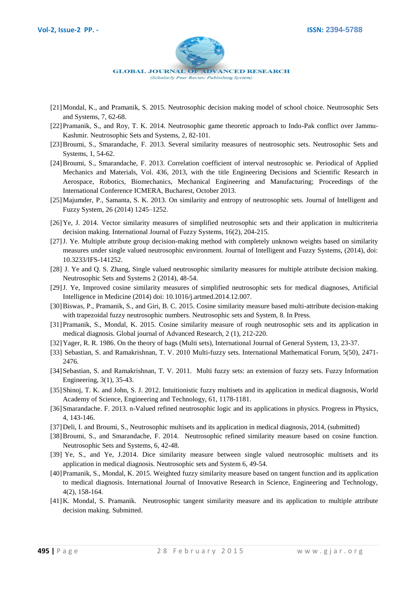

- [21]Mondal, K., and Pramanik, S. 2015. Neutrosophic decision making model of school choice. Neutrosophic Sets and Systems, 7, 62-68.
- [22] Pramanik, S., and Roy, T. K. 2014. Neutrosophic game theoretic approach to Indo-Pak conflict over Jammu-Kashmir. Neutrosophic Sets and Systems, 2, 82-101.
- [23]Broumi, S., Smarandache, F. 2013. Several similarity measures of neutrosophic sets. Neutrosophic Sets and Systems, 1, 54-62.
- [24]Broumi, S., Smarandache, F. 2013. Correlation coefficient of interval neutrosophic se. Periodical of Applied Mechanics and Materials, Vol. 436, 2013, with the title Engineering Decisions and Scientific Research in Aerospace, Robotics, Biomechanics, Mechanical Engineering and Manufacturing; Proceedings of the International Conference ICMERA, Bucharest, October 2013.
- [25]Majumder, P., Samanta, S. K. 2013. On similarity and entropy of neutrosophic sets. Journal of Intelligent and Fuzzy System, 26 (2014) 1245–1252.
- [26]Ye, J. 2014. Vector similarity measures of simplified neutrosophic sets and their application in multicriteria decision making. International Journal of Fuzzy Systems, 16(2), 204-215.
- [27]J. Ye. Multiple attribute group decision-making method with completely unknown weights based on similarity measures under single valued neutrosophic environment. Journal of Intelligent and Fuzzy Systems, (2014), doi: 10.3233/IFS-141252.
- [28] J. Ye and Q. S. Zhang, Single valued neutrosophic similarity measures for multiple attribute decision making. Neutrosophic Sets and Systems 2 (2014), 48-54.
- [29]J. Ye, Improved cosine similarity measures of simplified neutrosophic sets for medical diagnoses, Artificial Intelligence in Medicine (2014) doi: 10.1016/j.artmed.2014.12.007.
- [30]Biswas, P., Pramanik, S., and Giri, B. C. 2015. Cosine similarity measure based multi-attribute decision-making with trapezoidal fuzzy neutrosophic numbers. Neutrosophic sets and System, 8. In Press.
- [31]Pramanik, S., Mondal, K. 2015. Cosine similarity measure of rough neutrosophic sets and its application in medical diagnosis. Global journal of Advanced Research, 2 (1), 212-220.
- [32]Yager, R. R. 1986. On the theory of bags (Multi sets), International Journal of General System, 13, 23-37.
- [33] Sebastian, S. and Ramakrishnan, T. V. 2010 Multi-fuzzy sets. International Mathematical Forum, 5(50), 2471- 2476.
- [34] Sebastian, S. and Ramakrishnan, T. V. 2011. Multi fuzzy sets: an extension of fuzzy sets. Fuzzy Information Engineering, 3(1), 35-43.
- [35] Shinoj, T. K. and John, S. J. 2012. Intuitionistic fuzzy multisets and its application in medical diagnosis, World Academy of Science, Engineering and Technology, 61, 1178-1181.
- [36] Smarandache. F. 2013. n-Valued refined neutrosophic logic and its applications in physics. Progress in Physics, 4, 143-146.
- [37]Deli, I. and Broumi, S., Neutrosophic multisets and its application in medical diagnosis, 2014, (submitted)
- [38]Broumi, S., and Smarandache, F. 2014. Neutrosophic refined similarity measure based on cosine function. Neutrosophic Sets and Systems, 6, 42-48.
- [39] Ye, S., and Ye, J.2014. Dice similarity measure between single valued neutrosophic multisets and its application in medical diagnosis. Neutrosophic sets and System 6, 49-54.
- [40]Pramanik, S., Mondal, K. 2015. Weighted fuzzy similarity measure based on tangent function and its application to medical diagnosis. International Journal of Innovative Research in Science, Engineering and Technology, 4(2), 158-164.
- [41]K. Mondal, S. Pramanik. Neutrosophic tangent similarity measure and its application to multiple attribute decision making. Submitted.